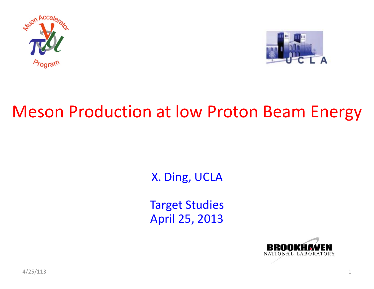



### Meson Production at low Proton Beam Energy

X. Ding, UCLA

Target Studies April 25, 2013

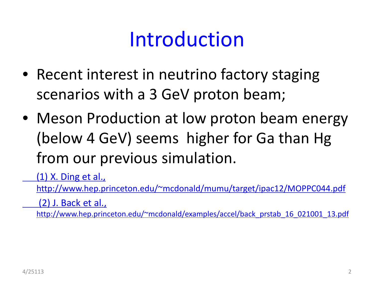## Introduction

- Recent interest in neutrino factory staging scenarios with a 3 GeV proton beam;
- Meson Production at low proton beam energy (below 4 GeV) seems higher for Ga than Hg from our previous simulation.

(1) X. Ding et al.,

http://www.hep.princeton.edu/~mcdonald/mumu/target/ipac12/MOPPC044.pdf

(2) J. Back et al.,

http://www.hep.princeton.edu/~mcdonald/examples/accel/back\_prstab\_16\_021001\_13.pdf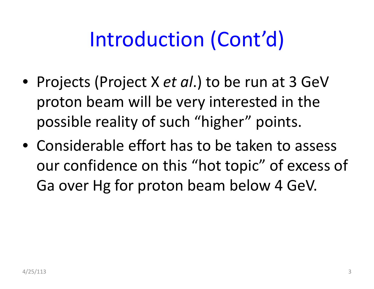# Introduction (Cont'd)

- Projects (Project X *et al*.) to be run at 3 GeV proton beam will be very interested in the possible reality of such "higher" points.
- Considerable effort has to be taken to assess our confidence on this "hot topic" of excess of Ga over Hg for proton beam below 4 GeV.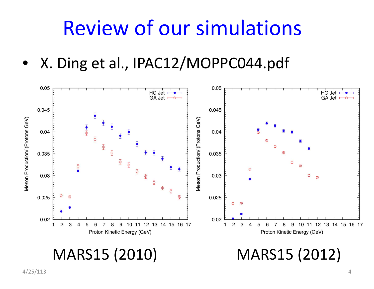## Review of our simulations

• X. Ding et al., IPAC12/MOPPC044.pdf



#### MARS15 (2010)

(2010) MARS15 (2012)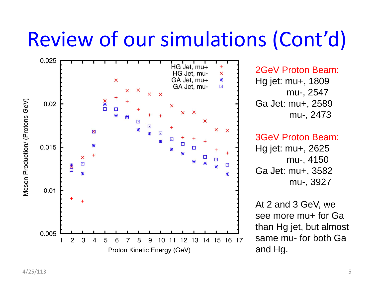# Review of our simulations (Cont'd)



2GeV Proton Beam: Hg jet: mu+, 1809 mu-, 2547 Ga Jet: mu+, 2589 mu-, 2473

#### 3GeV Proton Beam:

Hg jet: mu+, 2625 mu-, 4150 Ga Jet: mu+, 3582 mu-, 3927

At 2 and 3 GeV, we see more mu+ for Ga than Hg jet, but almost same mu- for both Ga and Hg.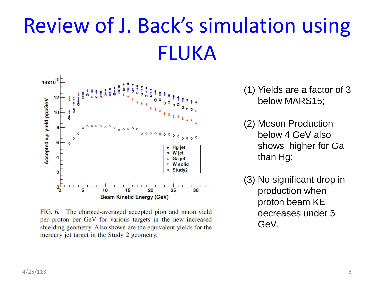# Review of J. Back's simulation using FLUKA



FIG. 6. The charged-averaged accepted pion and muon yield per proton per GeV for various targets in the new increased shielding geometry. Also shown are the equivalent yields for the mercury jet target in the Study 2 geometry.

- (1) Yields are a factor of 3 below MARS15;
- (2) Meson Production below 4 GeV also shows higher for Ga than Hg;
- (3) No significant drop in production when proton beam KE decreases under 5 GeV.